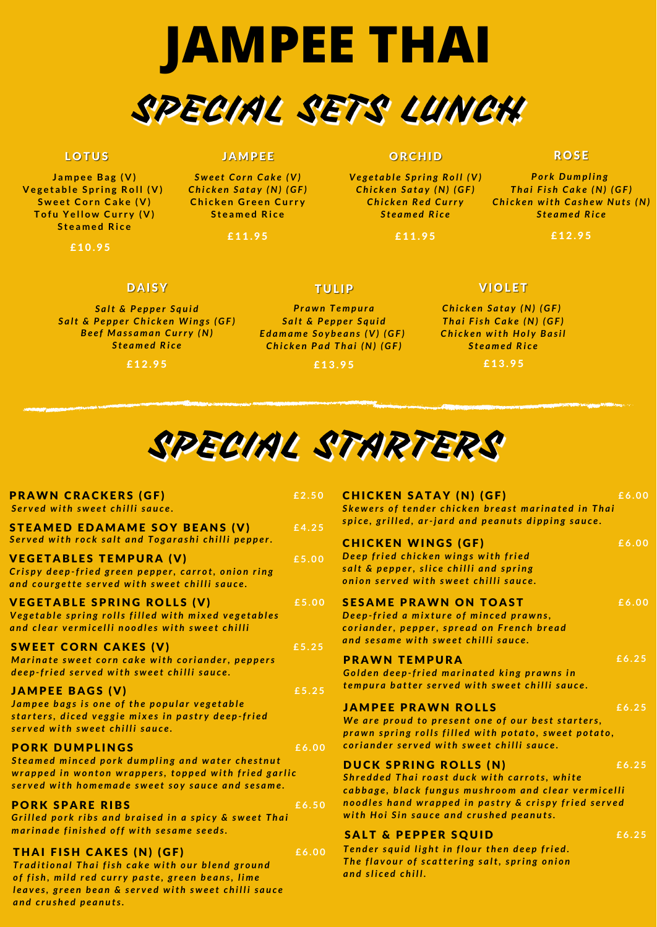**J a m p e e Ba g ( V ) V e g e t a b l e S p r i n g Ro l l ( V ) S w e e t Co r n Ca k e ( V ) T o f u Ye l l o w Cu r r y ( V ) S t e a m e d Ri c e**

£10.95

#### **JAMPEE**

*S w e e t C o r n C a k e (V) C h i c k e n S a t a y (N) (GF )* **Chicken Green Curry S t e a m e d Ri c e**

£11.95

#### ORCHID

*Ve g e t a b l e S p ri n g R o l l (V) C h i c k e n S a t a y (N) (GF ) C h i c k e n R e d C u rr y S t e a m e d R i c e*

£11.95

#### **ROSE**

*P o r k Du m p l i n g T h a i F is h C a k e (N) (GF ) C h i c k e n w it h C a s h e w Nu ts (N) S t e a m e d R i c e*

£12.95

#### **DAISY**

*S a lt & P e p p e r S q u i d S a lt & P e p p e r C h i c k e n Wi n g s (GF ) B e e f M a ss a m a n C u rr y (N) S t e a m e d R i c e*

£ 12.95

# **TULIP**

Traditional Thai fish cake with our blend ground of fish, mild red curry paste, green beans, lime leaves, green bean & served with sweet chilli sauce *a n d c r u s h e d p e a n u ts.*

#### **JAMPEE PRAWN ROLLS**

We are proud to present one of our best starters, prawn spring rolls filled with potato, sweet potato, coriander served with sweet chilli sauce.

#### DUCK SPRING ROLLS (N)

*P r a w n T e m p u r a S a lt & P e p p e r S q u i d E d a m a m e S o y b e a n s (V) (GF ) C h i c k e n P a d T h a i (N) (GF )*

£ 1 3 . 9 5

#### **VIOLET**

*C h i c k e n S a t a y (N) (GF ) T h a i F is h C a k e (N) (GF ) C h i c k e n w it h Ho l y B a si l S t e a m e d R i c e*

£13.95



Tender squid light in flour then deep fried. The flavour of scattering salt, spring onion *a n d sl i c e d c h i l l .*

| <b>PRAWN CRACKERS (GF)</b><br>Served with sweet chilli sauce.                                                                              | £2.50 |   |
|--------------------------------------------------------------------------------------------------------------------------------------------|-------|---|
| <b>STEAMED EDAMAME SOY BEANS (V)</b><br>Served with rock salt and Togarashi chilli pepper.                                                 | £4.25 |   |
| <b>VEGETABLES TEMPURA (V)</b><br>Crispy deep-fried green pepper, carrot, onion ring<br>and courgette served with sweet chilli sauce.       | £5.00 |   |
| <b>VEGETABLE SPRING ROLLS (V)</b><br>Vegetable spring rolls filled with mixed vegetables<br>and clear vermicelli noodles with sweet chilli | £5.00 |   |
| <b>SWEET CORN CAKES (V)</b><br>Marinate sweet corn cake with coriander, peppers<br>deep-fried served with sweet chilli sauce.              | £5.25 | C |
| <b>JAMPEE BAGS (V)</b>                                                                                                                     | £5.25 |   |

| <b>CHICKEN SATAY (N) (GF)</b><br>Skewers of tender chicken breast marinated in Thai<br>spice, grilled, ar-jard and peanuts dipping sauce.                  | £6.00               |
|------------------------------------------------------------------------------------------------------------------------------------------------------------|---------------------|
| <b>CHICKEN WINGS (GF)</b><br>Deep fried chicken wings with fried<br>salt & pepper, slice chilli and spring<br>onion served with sweet chilli sauce.        | $\overline{E}$ 6.00 |
| <b>SESAME PRAWN ON TOAST</b><br>Deep-fried a mixture of minced prawns,<br>coriander, pepper, spread on French bread<br>and sesame with sweet chilli sauce. | £6.00               |
| <b>PRAWN TEMPURA</b><br>Colden deen-fried marinated king prawns in                                                                                         | £6.25               |

Golden deep-fried marinated king prawns in empura batter served with sweet chilli sauce.

Jampee bags is one of the popular vegetable starters, diced veggie mixes in pastry deep-fried served with sweet chilli sauce.

#### **PORK DUMPLINGS**

Steamed minced pork dumpling and water chestnut wrapped in wonton wrappers, topped with fried garlic served with homemade sweet soy sauce and sesame.

#### **PORK SPARE RIBS**

Grilled pork ribs and braised in a spicy & sweet Thai marinade finished off with sesame seeds.

#### THAI FISH CAKES (N) (GF)

**£ 6 . 0 0**

**£ 6 . 5 0**

**£ 6 . 0 0**

**£ 6 . 2 5**

Shredded Thai roast duck with carrots, white cabbage, black fungus mushroom and clear vermicelli noodles hand wrapped in pastry & crispy fried served with Hoi Sin sauce and crushed peanuts.

#### **SALT & PEPPER SQUID**

**£ 6 . 2 5**

**£ 6 . 2 5**



#### **LOTUS**